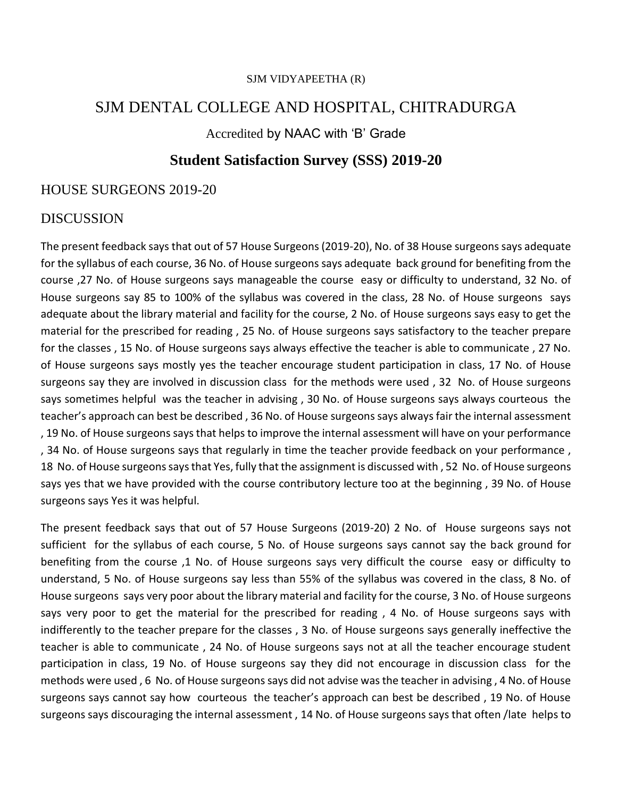### SJM DENTAL COLLEGE AND HOSPITAL, CHITRADURGA

Accredited by NAAC with 'B' Grade

#### **Student Satisfaction Survey (SSS) 2019-20**

#### HOUSE SURGEONS 2019-20

#### DISCUSSION

The present feedback says that out of 57 House Surgeons (2019-20), No. of 38 House surgeons says adequate for the syllabus of each course, 36 No. of House surgeons says adequate back ground for benefiting from the course ,27 No. of House surgeons says manageable the course easy or difficulty to understand, 32 No. of House surgeons say 85 to 100% of the syllabus was covered in the class, 28 No. of House surgeons says adequate about the library material and facility for the course, 2 No. of House surgeons says easy to get the material for the prescribed for reading , 25 No. of House surgeons says satisfactory to the teacher prepare for the classes , 15 No. of House surgeons says always effective the teacher is able to communicate , 27 No. of House surgeons says mostly yes the teacher encourage student participation in class, 17 No. of House surgeons say they are involved in discussion class for the methods were used , 32 No. of House surgeons says sometimes helpful was the teacher in advising , 30 No. of House surgeons says always courteous the teacher's approach can best be described , 36 No. of House surgeons says always fair the internal assessment , 19 No. of House surgeons says that helps to improve the internal assessment will have on your performance , 34 No. of House surgeons says that regularly in time the teacher provide feedback on your performance , 18 No. of House surgeons says that Yes, fully that the assignment is discussed with , 52 No. of House surgeons says yes that we have provided with the course contributory lecture too at the beginning , 39 No. of House surgeons says Yes it was helpful.

The present feedback says that out of 57 House Surgeons (2019-20) 2 No. of House surgeons says not sufficient for the syllabus of each course, 5 No. of House surgeons says cannot say the back ground for benefiting from the course ,1 No. of House surgeons says very difficult the course easy or difficulty to understand, 5 No. of House surgeons say less than 55% of the syllabus was covered in the class, 8 No. of House surgeons says very poor about the library material and facility for the course, 3 No. of House surgeons says very poor to get the material for the prescribed for reading, 4 No. of House surgeons says with indifferently to the teacher prepare for the classes , 3 No. of House surgeons says generally ineffective the teacher is able to communicate , 24 No. of House surgeons says not at all the teacher encourage student participation in class, 19 No. of House surgeons say they did not encourage in discussion class for the methods were used , 6 No. of House surgeons says did not advise was the teacher in advising , 4 No. of House surgeons says cannot say how courteous the teacher's approach can best be described , 19 No. of House surgeons says discouraging the internal assessment , 14 No. of House surgeons says that often /late helps to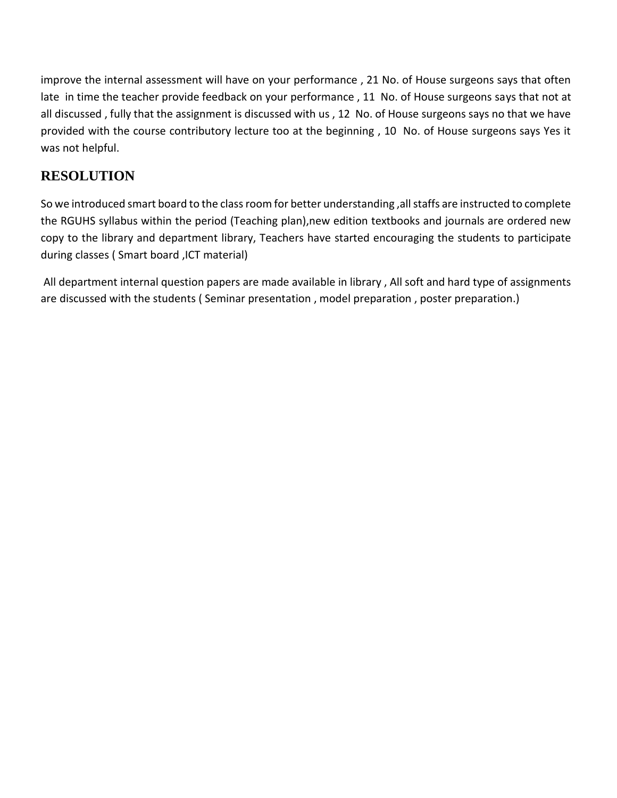improve the internal assessment will have on your performance , 21 No. of House surgeons says that often late in time the teacher provide feedback on your performance , 11 No. of House surgeons says that not at all discussed , fully that the assignment is discussed with us , 12 No. of House surgeons says no that we have provided with the course contributory lecture too at the beginning , 10 No. of House surgeons says Yes it was not helpful.

## **RESOLUTION**

So we introduced smart board to the class room for better understanding ,all staffs are instructed to complete the RGUHS syllabus within the period (Teaching plan),new edition textbooks and journals are ordered new copy to the library and department library, Teachers have started encouraging the students to participate during classes ( Smart board ,ICT material)

All department internal question papers are made available in library , All soft and hard type of assignments are discussed with the students ( Seminar presentation , model preparation , poster preparation.)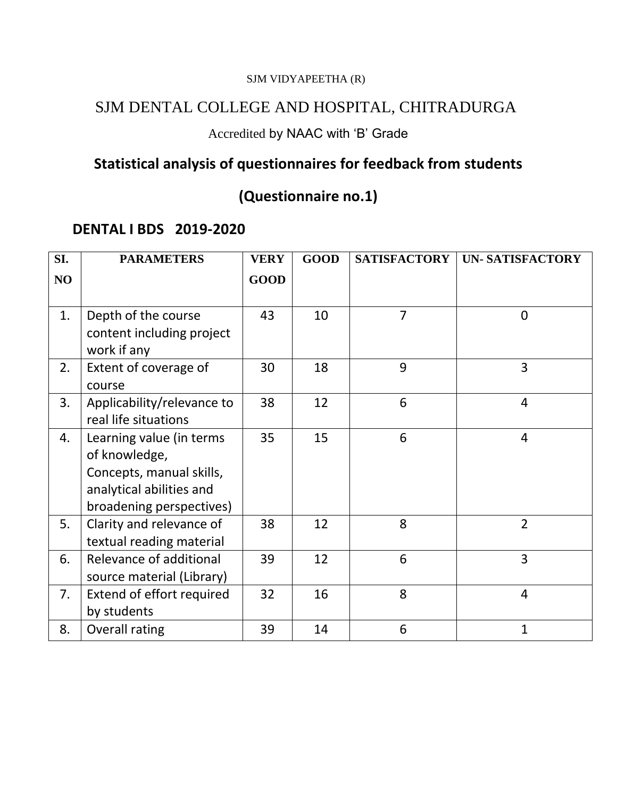### SJM DENTAL COLLEGE AND HOSPITAL, CHITRADURGA

## Accredited by NAAC with 'B' Grade

# **Statistical analysis of questionnaires for feedback from students**

# **(Questionnaire no.1)**

### **DENTAL I BDS 2019-2020**

| SI. | <b>PARAMETERS</b>                                                                                                             | <b>VERY</b> | <b>GOOD</b> | <b>SATISFACTORY</b> | <b>UN- SATISFACTORY</b> |
|-----|-------------------------------------------------------------------------------------------------------------------------------|-------------|-------------|---------------------|-------------------------|
| NO  |                                                                                                                               | <b>GOOD</b> |             |                     |                         |
| 1.  | Depth of the course<br>content including project<br>work if any                                                               | 43          | 10          | $\overline{7}$      | 0                       |
| 2.  | Extent of coverage of<br>course                                                                                               | 30          | 18          | 9                   | 3                       |
| 3.  | Applicability/relevance to<br>real life situations                                                                            | 38          | 12          | 6                   | 4                       |
| 4.  | Learning value (in terms<br>of knowledge,<br>Concepts, manual skills,<br>analytical abilities and<br>broadening perspectives) | 35          | 15          | 6                   | $\overline{4}$          |
| 5.  | Clarity and relevance of<br>textual reading material                                                                          | 38          | 12          | 8                   | $\overline{2}$          |
| 6.  | Relevance of additional<br>source material (Library)                                                                          | 39          | 12          | 6                   | $\overline{3}$          |
| 7.  | Extend of effort required<br>by students                                                                                      | 32          | 16          | 8                   | 4                       |
| 8.  | Overall rating                                                                                                                | 39          | 14          | 6                   | $\mathbf{1}$            |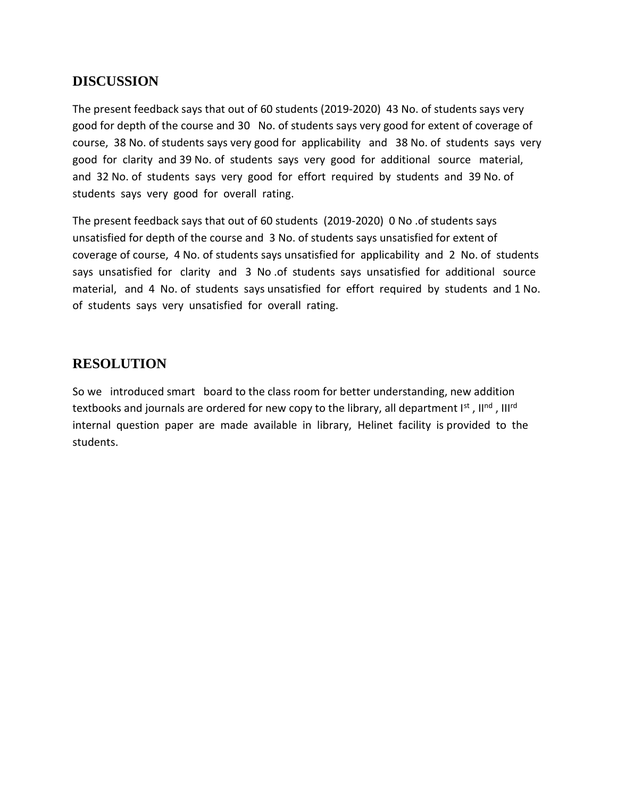The present feedback says that out of 60 students (2019-2020) 43 No. of students says very good for depth of the course and 30 No. of students says very good for extent of coverage of course, 38 No. of students says very good for applicability and 38 No. of students says very good for clarity and 39 No. of students says very good for additional source material, and 32 No. of students says very good for effort required by students and 39 No. of students says very good for overall rating.

The present feedback says that out of 60 students (2019-2020) 0 No .of students says unsatisfied for depth of the course and 3 No. of students says unsatisfied for extent of coverage of course, 4 No. of students says unsatisfied for applicability and 2 No. of students says unsatisfied for clarity and 3 No .of students says unsatisfied for additional source material, and 4 No. of students says unsatisfied for effort required by students and 1 No. of students says very unsatisfied for overall rating.

#### **RESOLUTION**

So we introduced smart board to the class room for better understanding, new addition textbooks and journals are ordered for new copy to the library, all department l<sup>st</sup> , ll<sup>nd</sup> , lll<sup>rd</sup> internal question paper are made available in library, Helinet facility is provided to the students.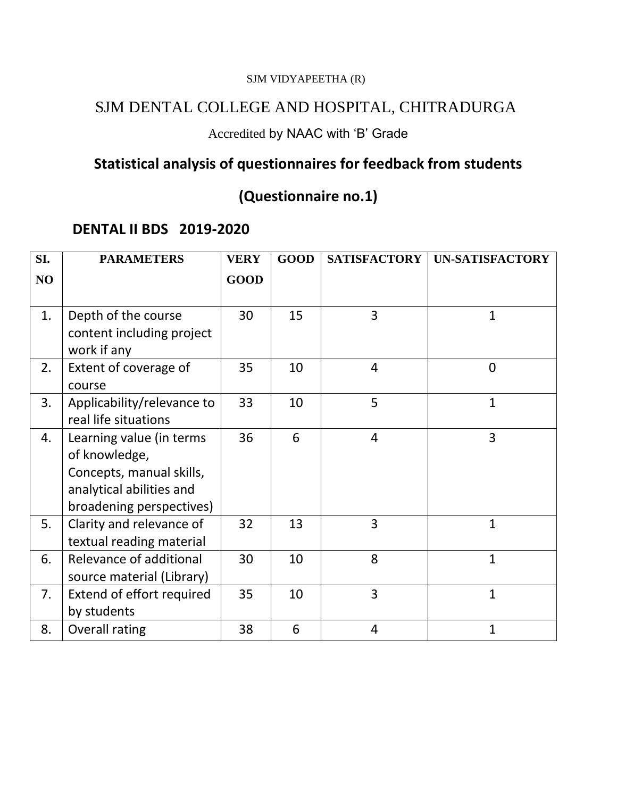### SJM DENTAL COLLEGE AND HOSPITAL, CHITRADURGA

## Accredited by NAAC with 'B' Grade

# **Statistical analysis of questionnaires for feedback from students**

# **(Questionnaire no.1)**

### **DENTAL II BDS 2019-2020**

| SI. | <b>PARAMETERS</b>                                                                                                             | <b>VERY</b> | <b>GOOD</b> | <b>SATISFACTORY</b> | <b>UN-SATISFACTORY</b> |
|-----|-------------------------------------------------------------------------------------------------------------------------------|-------------|-------------|---------------------|------------------------|
| NO  |                                                                                                                               | <b>GOOD</b> |             |                     |                        |
| 1.  | Depth of the course<br>content including project<br>work if any                                                               | 30          | 15          | 3                   | $\mathbf{1}$           |
| 2.  | Extent of coverage of<br>course                                                                                               | 35          | 10          | $\overline{4}$      | $\mathbf 0$            |
| 3.  | Applicability/relevance to<br>real life situations                                                                            | 33          | 10          | 5                   | $\mathbf{1}$           |
| 4.  | Learning value (in terms<br>of knowledge,<br>Concepts, manual skills,<br>analytical abilities and<br>broadening perspectives) | 36          | 6           | $\overline{4}$      | 3                      |
| 5.  | Clarity and relevance of<br>textual reading material                                                                          | 32          | 13          | $\overline{3}$      | $\mathbf{1}$           |
| 6.  | Relevance of additional<br>source material (Library)                                                                          | 30          | 10          | 8                   | $\mathbf{1}$           |
| 7.  | Extend of effort required<br>by students                                                                                      | 35          | 10          | $\overline{3}$      | $\mathbf{1}$           |
| 8.  | Overall rating                                                                                                                | 38          | 6           | $\overline{4}$      | $\mathbf{1}$           |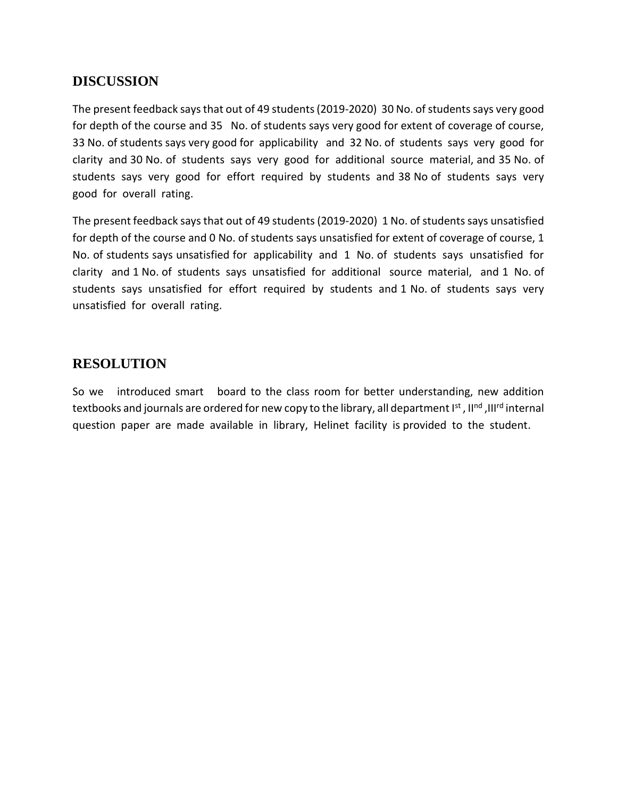The present feedback says that out of 49 students (2019-2020) 30 No. of students says very good for depth of the course and 35 No. of students says very good for extent of coverage of course, 33 No. of students says very good for applicability and 32 No. of students says very good for clarity and 30 No. of students says very good for additional source material, and 35 No. of students says very good for effort required by students and 38 No of students says very good for overall rating.

The present feedback says that out of 49 students (2019-2020) 1 No. of students says unsatisfied for depth of the course and 0 No. of students says unsatisfied for extent of coverage of course, 1 No. of students says unsatisfied for applicability and 1 No. of students says unsatisfied for clarity and 1 No. of students says unsatisfied for additional source material, and 1 No. of students says unsatisfied for effort required by students and 1 No. of students says very unsatisfied for overall rating.

#### **RESOLUTION**

So we introduced smart board to the class room for better understanding, new addition textbooks and journals are ordered for new copy to the library, all department I<sup>st</sup> , II<sup>nd</sup> ,III<sup>rd</sup> internal question paper are made available in library, Helinet facility is provided to the student.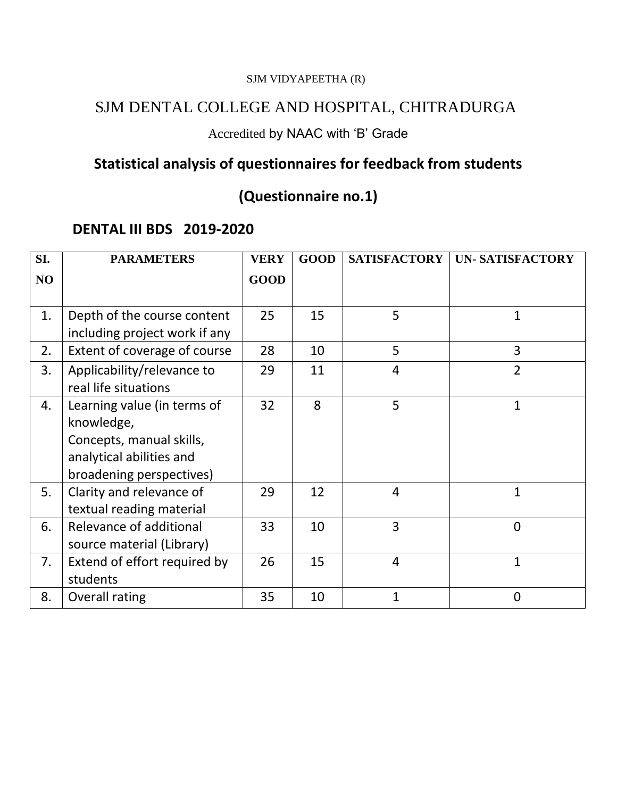### SJM DENTAL COLLEGE AND HOSPITAL, CHITRADURGA

## Accredited by NAAC with 'B' Grade

# **Statistical analysis of questionnaires for feedback from students**

# **(Questionnaire no.1)**

### **DENTAL III BDS 2019-2020**

| SI. | <b>PARAMETERS</b>              | <b>VERY</b> | <b>GOOD</b> | <b>SATISFACTORY</b> | <b>UN- SATISFACTORY</b> |
|-----|--------------------------------|-------------|-------------|---------------------|-------------------------|
| NO  |                                | <b>GOOD</b> |             |                     |                         |
|     |                                |             |             |                     |                         |
| 1.  | Depth of the course content    | 25          | 15          | 5                   | $\mathbf{1}$            |
|     | including project work if any  |             |             |                     |                         |
| 2.  | Extent of coverage of course   | 28          | 10          | 5                   | 3                       |
| 3.  | Applicability/relevance to     | 29          | 11          | 4                   | $\overline{2}$          |
|     | real life situations           |             |             |                     |                         |
| 4.  | Learning value (in terms of    | 32          | 8           | 5                   | $\mathbf{1}$            |
|     | knowledge,                     |             |             |                     |                         |
|     | Concepts, manual skills,       |             |             |                     |                         |
|     | analytical abilities and       |             |             |                     |                         |
|     | broadening perspectives)       |             |             |                     |                         |
| 5.  | Clarity and relevance of       | 29          | 12          | 4                   | $\mathbf{1}$            |
|     | textual reading material       |             |             |                     |                         |
| 6.  | <b>Relevance of additional</b> | 33          | 10          | 3                   | $\mathbf 0$             |
|     | source material (Library)      |             |             |                     |                         |
| 7.  | Extend of effort required by   | 26          | 15          | $\overline{4}$      | $\mathbf{1}$            |
|     | students                       |             |             |                     |                         |
| 8.  | Overall rating                 | 35          | 10          | 1                   | 0                       |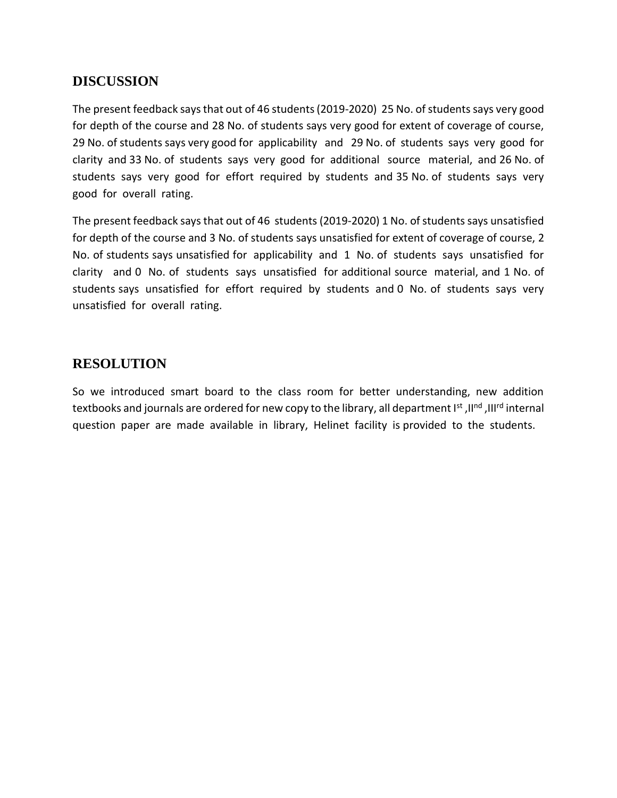The present feedback says that out of 46 students (2019-2020) 25 No. of students says very good for depth of the course and 28 No. of students says very good for extent of coverage of course, 29 No. of students says very good for applicability and 29 No. of students says very good for clarity and 33 No. of students says very good for additional source material, and 26 No. of students says very good for effort required by students and 35 No. of students says very good for overall rating.

The present feedback says that out of 46 students (2019-2020) 1 No. of students says unsatisfied for depth of the course and 3 No. of students says unsatisfied for extent of coverage of course, 2 No. of students says unsatisfied for applicability and 1 No. of students says unsatisfied for clarity and 0 No. of students says unsatisfied for additional source material, and 1 No. of students says unsatisfied for effort required by students and 0 No. of students says very unsatisfied for overall rating.

#### **RESOLUTION**

So we introduced smart board to the class room for better understanding, new addition textbooks and journals are ordered for new copy to the library, all department Ist, IInd, IIIrd internal question paper are made available in library, Helinet facility is provided to the students.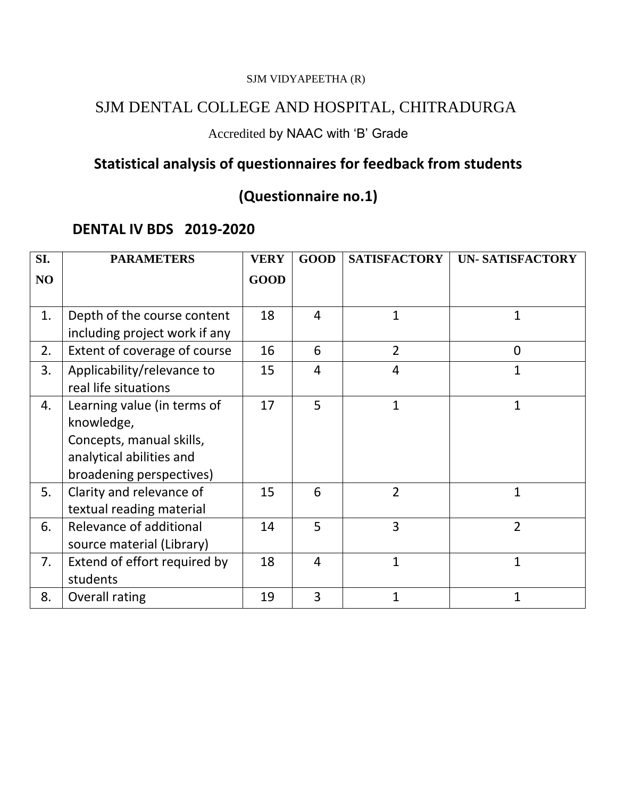### SJM DENTAL COLLEGE AND HOSPITAL, CHITRADURGA

## Accredited by NAAC with 'B' Grade

# **Statistical analysis of questionnaires for feedback from students**

# **(Questionnaire no.1)**

### **DENTAL IV BDS 2019-2020**

| SI. | <b>PARAMETERS</b>             | <b>VERY</b> | <b>GOOD</b>    | <b>SATISFACTORY</b> | <b>UN- SATISFACTORY</b> |
|-----|-------------------------------|-------------|----------------|---------------------|-------------------------|
| NO  |                               | <b>GOOD</b> |                |                     |                         |
|     |                               |             |                |                     |                         |
| 1.  | Depth of the course content   | 18          | 4              | 1                   | 1                       |
|     | including project work if any |             |                |                     |                         |
| 2.  | Extent of coverage of course  | 16          | 6              | $\overline{2}$      | $\overline{0}$          |
| 3.  | Applicability/relevance to    | 15          | $\overline{4}$ | 4                   | 1                       |
|     | real life situations          |             |                |                     |                         |
| 4.  | Learning value (in terms of   | 17          | 5              | $\mathbf{1}$        | $\mathbf{1}$            |
|     | knowledge,                    |             |                |                     |                         |
|     | Concepts, manual skills,      |             |                |                     |                         |
|     | analytical abilities and      |             |                |                     |                         |
|     | broadening perspectives)      |             |                |                     |                         |
| 5.  | Clarity and relevance of      | 15          | 6              | $\overline{2}$      | $\mathbf{1}$            |
|     | textual reading material      |             |                |                     |                         |
| 6.  | Relevance of additional       | 14          | 5              | 3                   | $\overline{2}$          |
|     | source material (Library)     |             |                |                     |                         |
| 7.  | Extend of effort required by  | 18          | $\overline{4}$ | $\overline{1}$      | $\mathbf{1}$            |
|     | students                      |             |                |                     |                         |
| 8.  | Overall rating                | 19          | 3              | 1                   | $\mathbf{1}$            |